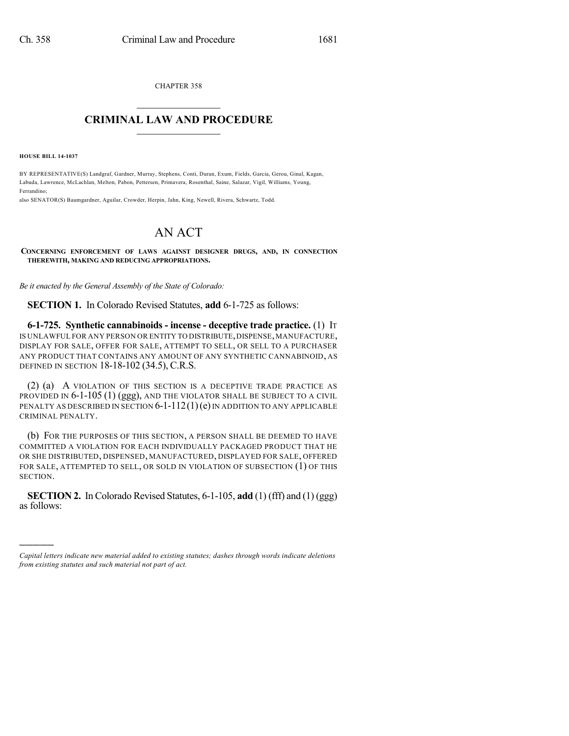CHAPTER 358  $\overline{\phantom{a}}$  . The set of the set of the set of the set of the set of the set of the set of the set of the set of the set of the set of the set of the set of the set of the set of the set of the set of the set of the set o

## **CRIMINAL LAW AND PROCEDURE**  $\frac{1}{2}$  ,  $\frac{1}{2}$  ,  $\frac{1}{2}$  ,  $\frac{1}{2}$  ,  $\frac{1}{2}$  ,  $\frac{1}{2}$  ,  $\frac{1}{2}$

**HOUSE BILL 14-1037**

)))))

BY REPRESENTATIVE(S) Landgraf, Gardner, Murray, Stephens, Conti, Duran, Exum, Fields, Garcia, Gerou, Ginal, Kagan, Labuda, Lawrence, McLachlan, Melton, Pabon, Pettersen, Primavera, Rosenthal, Saine, Salazar, Vigil, Williams, Young, Ferrandino;

also SENATOR(S) Baumgardner, Aguilar, Crowder, Herpin, Jahn, King, Newell, Rivera, Schwartz, Todd.

## AN ACT

**CONCERNING ENFORCEMENT OF LAWS AGAINST DESIGNER DRUGS, AND, IN CONNECTION THEREWITH, MAKING AND REDUCING APPROPRIATIONS.**

*Be it enacted by the General Assembly of the State of Colorado:*

**SECTION 1.** In Colorado Revised Statutes, **add** 6-1-725 as follows:

**6-1-725. Synthetic cannabinoids - incense - deceptive trade practice.** (1) IT IS UNLAWFUL FOR ANY PERSON OR ENTITY TO DISTRIBUTE, DISPENSE, MANUFACTURE, DISPLAY FOR SALE, OFFER FOR SALE, ATTEMPT TO SELL, OR SELL TO A PURCHASER ANY PRODUCT THAT CONTAINS ANY AMOUNT OF ANY SYNTHETIC CANNABINOID, AS DEFINED IN SECTION 18-18-102 (34.5), C.R.S.

(2) (a) A VIOLATION OF THIS SECTION IS A DECEPTIVE TRADE PRACTICE AS PROVIDED IN 6-1-105 (1) (ggg), AND THE VIOLATOR SHALL BE SUBJECT TO A CIVIL PENALTY AS DESCRIBED IN SECTION  $6-1-112(1)(e)$  in addition to any applicable CRIMINAL PENALTY.

(b) FOR THE PURPOSES OF THIS SECTION, A PERSON SHALL BE DEEMED TO HAVE COMMITTED A VIOLATION FOR EACH INDIVIDUALLY PACKAGED PRODUCT THAT HE OR SHE DISTRIBUTED, DISPENSED, MANUFACTURED, DISPLAYED FOR SALE, OFFERED FOR SALE, ATTEMPTED TO SELL, OR SOLD IN VIOLATION OF SUBSECTION (1) OF THIS SECTION.

**SECTION 2.** In Colorado Revised Statutes, 6-1-105, **add** (1) (fff) and (1) (ggg) as follows:

*Capital letters indicate new material added to existing statutes; dashes through words indicate deletions from existing statutes and such material not part of act.*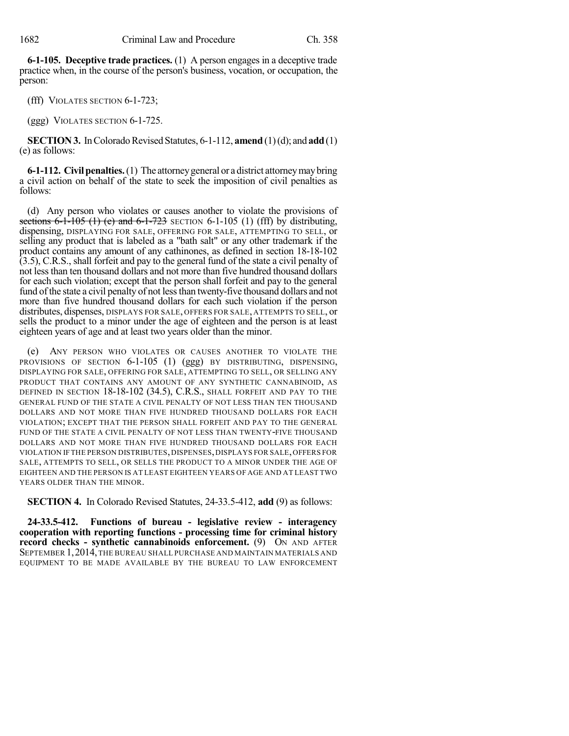**6-1-105. Deceptive trade practices.** (1) A person engages in a deceptive trade practice when, in the course of the person's business, vocation, or occupation, the person:

(fff) VIOLATES SECTION 6-1-723;

(ggg) VIOLATES SECTION 6-1-725.

**SECTION 3.** In Colorado Revised Statutes, 6-1-112, **amend** (1)(d); and **add** (1) (e) as follows:

**6-1-112. Civilpenalties.**(1) The attorneygeneral or a district attorneymaybring a civil action on behalf of the state to seek the imposition of civil penalties as follows:

(d) Any person who violates or causes another to violate the provisions of sections  $6-1-105$  (1) (e) and  $6-1-723$  SECTION  $6-1-105$  (1) (fff) by distributing, dispensing, DISPLAYING FOR SALE, OFFERING FOR SALE, ATTEMPTING TO SELL, or selling any product that is labeled as a "bath salt" or any other trademark if the product contains any amount of any cathinones, as defined in section 18-18-102 (3.5), C.R.S., shall forfeit and pay to the general fund of the state a civil penalty of not lessthan ten thousand dollars and not more than five hundred thousand dollars for each such violation; except that the person shall forfeit and pay to the general fund of the state a civil penalty of not less than twenty-five thousand dollars and not more than five hundred thousand dollars for each such violation if the person distributes, dispenses, DISPLAYS FOR SALE, OFFERS FOR SALE, ATTEMPTS TO SELL, or sells the product to a minor under the age of eighteen and the person is at least eighteen years of age and at least two years older than the minor.

(e) ANY PERSON WHO VIOLATES OR CAUSES ANOTHER TO VIOLATE THE PROVISIONS OF SECTION 6-1-105 (1) (ggg) BY DISTRIBUTING, DISPENSING, DISPLAYING FOR SALE, OFFERING FOR SALE, ATTEMPTING TO SELL, OR SELLING ANY PRODUCT THAT CONTAINS ANY AMOUNT OF ANY SYNTHETIC CANNABINOID, AS DEFINED IN SECTION 18-18-102 (34.5), C.R.S., SHALL FORFEIT AND PAY TO THE GENERAL FUND OF THE STATE A CIVIL PENALTY OF NOT LESS THAN TEN THOUSAND DOLLARS AND NOT MORE THAN FIVE HUNDRED THOUSAND DOLLARS FOR EACH VIOLATION; EXCEPT THAT THE PERSON SHALL FORFEIT AND PAY TO THE GENERAL FUND OF THE STATE A CIVIL PENALTY OF NOT LESS THAN TWENTY-FIVE THOUSAND DOLLARS AND NOT MORE THAN FIVE HUNDRED THOUSAND DOLLARS FOR EACH VIOLATION IF THE PERSON DISTRIBUTES,DISPENSES,DISPLAYS FOR SALE,OFFERS FOR SALE, ATTEMPTS TO SELL, OR SELLS THE PRODUCT TO A MINOR UNDER THE AGE OF EIGHTEEN AND THE PERSON IS AT LEAST EIGHTEEN YEARS OF AGE AND AT LEAST TWO YEARS OLDER THAN THE MINOR.

**SECTION 4.** In Colorado Revised Statutes, 24-33.5-412, **add** (9) as follows:

**24-33.5-412. Functions of bureau - legislative review - interagency cooperation with reporting functions - processing time for criminal history record checks - synthetic cannabinoids enforcement.** (9) ON AND AFTER SEPTEMBER 1,2014,THE BUREAU SHALL PURCHASE AND MAINTAIN MATERIALS AND EQUIPMENT TO BE MADE AVAILABLE BY THE BUREAU TO LAW ENFORCEMENT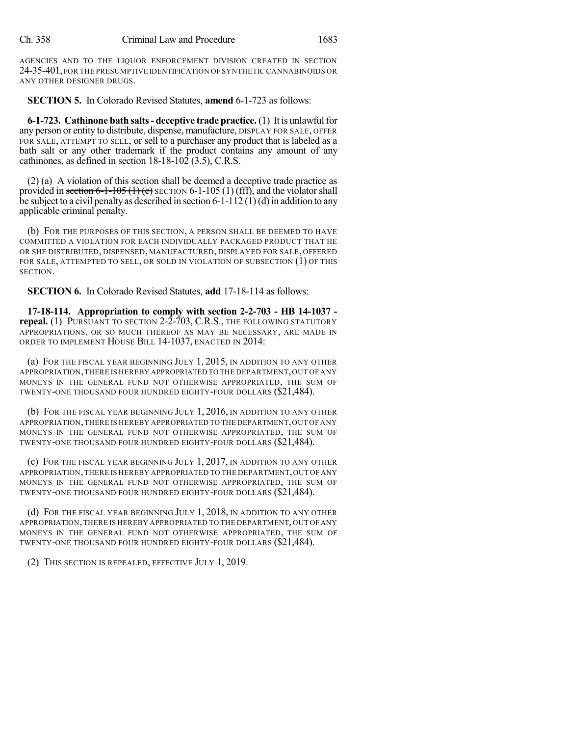AGENCIES AND TO THE LIQUOR ENFORCEMENT DIVISION CREATED IN SECTION 24-35-401,FOR THE PRESUMPTIVE IDENTIFICATION OF SYNTHETIC CANNABINOIDS OR ANY OTHER DESIGNER DRUGS.

**SECTION 5.** In Colorado Revised Statutes, **amend** 6-1-723 as follows:

**6-1-723. Cathinone bath salts- deceptive trade practice.** (1) It is unlawfulfor any person or entity to distribute, dispense, manufacture, DISPLAY FOR SALE, OFFER FOR SALE, ATTEMPT TO SELL, or sell to a purchaser any product that is labeled as a bath salt or any other trademark if the product contains any amount of any cathinones, as defined in section 18-18-102 (3.5), C.R.S.

(2) (a) A violation of this section shall be deemed a deceptive trade practice as provided in section 6-1-105 (1) (e) SECTION 6-1-105 (1) (fff), and the violator shall be subject to a civil penalty as described in section 6-1-112 (1)(d) in addition to any applicable criminal penalty.

(b) FOR THE PURPOSES OF THIS SECTION, A PERSON SHALL BE DEEMED TO HAVE COMMITTED A VIOLATION FOR EACH INDIVIDUALLY PACKAGED PRODUCT THAT HE OR SHE DISTRIBUTED, DISPENSED, MANUFACTURED, DISPLAYED FOR SALE, OFFERED FOR SALE, ATTEMPTED TO SELL, OR SOLD IN VIOLATION OF SUBSECTION (1) OF THIS SECTION.

**SECTION 6.** In Colorado Revised Statutes, **add** 17-18-114 as follows:

**17-18-114. Appropriation to comply with section 2-2-703 - HB 14-1037 repeal.** (1) PURSUANT TO SECTION 2-2-703, C.R.S., THE FOLLOWING STATUTORY APPROPRIATIONS, OR SO MUCH THEREOF AS MAY BE NECESSARY, ARE MADE IN ORDER TO IMPLEMENT HOUSE BILL 14-1037, ENACTED IN 2014:

(a) FOR THE FISCAL YEAR BEGINNING JULY 1, 2015, IN ADDITION TO ANY OTHER APPROPRIATION,THERE IS HEREBY APPROPRIATED TO THE DEPARTMENT,OUT OF ANY MONEYS IN THE GENERAL FUND NOT OTHERWISE APPROPRIATED, THE SUM OF TWENTY-ONE THOUSAND FOUR HUNDRED EIGHTY-FOUR DOLLARS (\$21,484).

(b) FOR THE FISCAL YEAR BEGINNING JULY 1, 2016, IN ADDITION TO ANY OTHER APPROPRIATION,THERE IS HEREBY APPROPRIATED TO THE DEPARTMENT,OUT OF ANY MONEYS IN THE GENERAL FUND NOT OTHERWISE APPROPRIATED, THE SUM OF TWENTY-ONE THOUSAND FOUR HUNDRED EIGHTY-FOUR DOLLARS (\$21,484).

(c) FOR THE FISCAL YEAR BEGINNING JULY 1, 2017, IN ADDITION TO ANY OTHER APPROPRIATION,THERE IS HEREBY APPROPRIATED TO THE DEPARTMENT,OUT OFANY MONEYS IN THE GENERAL FUND NOT OTHERWISE APPROPRIATED, THE SUM OF TWENTY-ONE THOUSAND FOUR HUNDRED EIGHTY-FOUR DOLLARS (\$21,484).

(d) FOR THE FISCAL YEAR BEGINNING JULY 1, 2018, IN ADDITION TO ANY OTHER APPROPRIATION,THERE IS HEREBY APPROPRIATED TO THE DEPARTMENT,OUT OFANY MONEYS IN THE GENERAL FUND NOT OTHERWISE APPROPRIATED, THE SUM OF TWENTY-ONE THOUSAND FOUR HUNDRED EIGHTY-FOUR DOLLARS (\$21,484).

(2) THIS SECTION IS REPEALED, EFFECTIVE JULY 1, 2019.